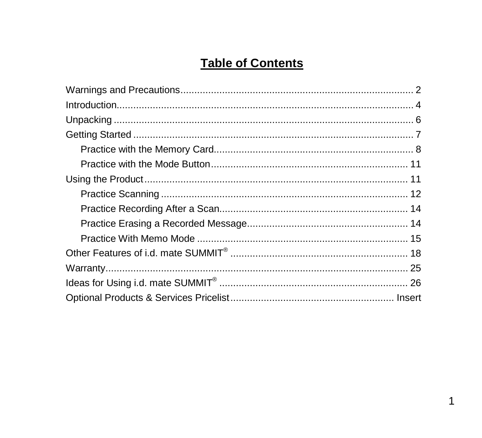# **Table of Contents**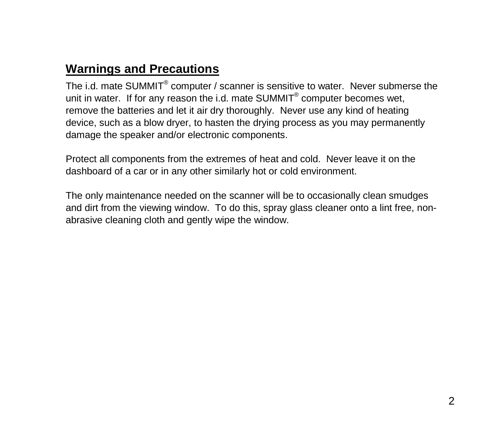# **Warnings and Precautions**

The i.d. mate SUMMIT<sup>®</sup> computer / scanner is sensitive to water. Never submerse the unit in water. If for any reason the i.d. mate  $SUMMIT<sup>®</sup>$  computer becomes wet, remove the batteries and let it air dry thoroughly. Never use any kind of heating device, such as a blow dryer, to hasten the drying process as you may permanently damage the speaker and/or electronic components.

Protect all components from the extremes of heat and cold. Never leave it on the dashboard of a car or in any other similarly hot or cold environment.

The only maintenance needed on the scanner will be to occasionally clean smudges and dirt from the viewing window. To do this, spray glass cleaner onto a lint free, nonabrasive cleaning cloth and gently wipe the window.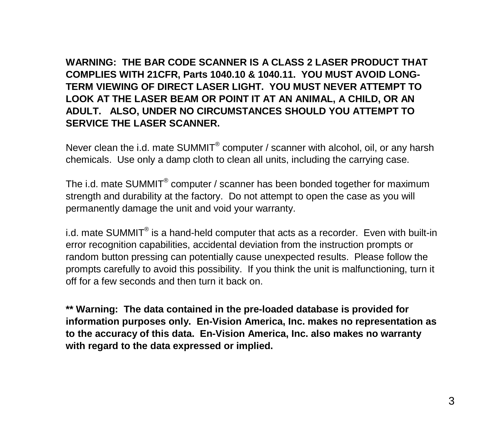**WARNING: THE BAR CODE SCANNER IS A CLASS 2 LASER PRODUCT THAT COMPLIES WITH 21CFR, Parts 1040.10 & 1040.11. YOU MUST AVOID LONG-TERM VIEWING OF DIRECT LASER LIGHT. YOU MUST NEVER ATTEMPT TO LOOK AT THE LASER BEAM OR POINT IT AT AN ANIMAL, A CHILD, OR AN ADULT. ALSO, UNDER NO CIRCUMSTANCES SHOULD YOU ATTEMPT TO SERVICE THE LASER SCANNER.**

Never clean the i.d. mate SUMMIT<sup>®</sup> computer / scanner with alcohol, oil, or any harsh chemicals. Use only a damp cloth to clean all units, including the carrying case.

The i.d. mate SUMMIT<sup>®</sup> computer / scanner has been bonded together for maximum strength and durability at the factory. Do not attempt to open the case as you will permanently damage the unit and void your warranty.

i.d. mate SUMMIT<sup>®</sup> is a hand-held computer that acts as a recorder. Even with built-in error recognition capabilities, accidental deviation from the instruction prompts or random button pressing can potentially cause unexpected results. Please follow the prompts carefully to avoid this possibility. If you think the unit is malfunctioning, turn it off for a few seconds and then turn it back on.

**\*\* Warning: The data contained in the pre-loaded database is provided for information purposes only. En-Vision America, Inc. makes no representation as to the accuracy of this data. En-Vision America, Inc. also makes no warranty with regard to the data expressed or implied.**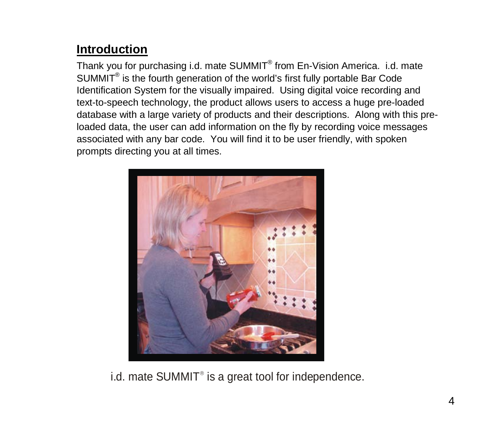# **Introduction**

Thank you for purchasing i.d. mate SUMMIT<sup>®</sup> from En-Vision America. i.d. mate SUMMIT® is the fourth generation of the world's first fully portable Bar Code Identification System for the visually impaired. Using digital voice recording and text-to-speech technology, the product allows users to access a huge pre-loaded database with a large variety of products and their descriptions. Along with this preloaded data, the user can add information on the fly by recording voice messages associated with any bar code. You will find it to be user friendly, with spoken prompts directing you at all times.



i.d. mate  $SUMMIT<sup>®</sup>$  is a great tool for independence.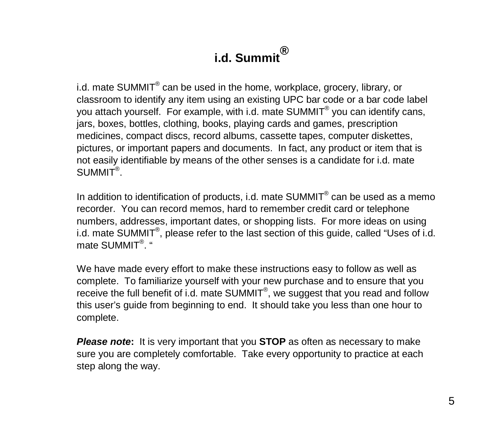# **i.d. Summit®**

i.d. mate SUMMIT® can be used in the home, workplace, grocery, library, or classroom to identify any item using an existing UPC bar code or a bar code label you attach yourself. For example, with i.d. mate SUMMIT® you can identify cans, jars, boxes, bottles, clothing, books, playing cards and games, prescription medicines, compact discs, record albums, cassette tapes, computer diskettes, pictures, or important papers and documents. In fact, any product or item that is not easily identifiable by means of the other senses is a candidate for i.d. mate SUMMIT® .

In addition to identification of products, i.d. mate  $SUMMIT<sup>®</sup>$  can be used as a memo recorder. You can record memos, hard to remember credit card or telephone numbers, addresses, important dates, or shopping lists. For more ideas on using i.d. mate SUMMIT<sup>®</sup>, please refer to the last section of this guide, called "Uses of i.d. mate SUMMIT<sup>®</sup>. "

We have made every effort to make these instructions easy to follow as well as complete. To familiarize yourself with your new purchase and to ensure that you receive the full benefit of i.d. mate SUMMIT<sup>®</sup>, we suggest that you read and follow this user's guide from beginning to end. It should take you less than one hour to complete.

**Please note:** It is very important that you **STOP** as often as necessary to make sure you are completely comfortable. Take every opportunity to practice at each step along the way.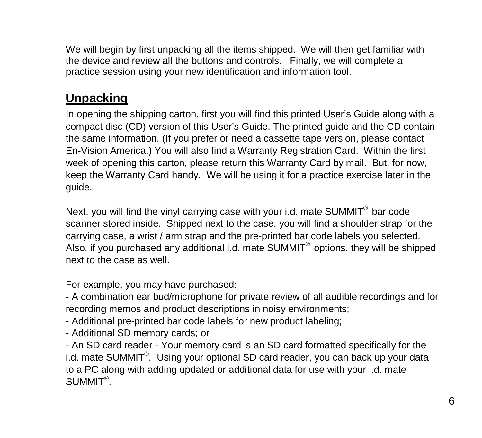We will begin by first unpacking all the items shipped. We will then get familiar with the device and review all the buttons and controls. Finally, we will complete a practice session using your new identification and information tool.

# **Unpacking**

In opening the shipping carton, first you will find this printed User's Guide along with a compact disc (CD) version of this User's Guide. The printed guide and the CD contain the same information. (If you prefer or need a cassette tape version, please contact En-Vision America.) You will also find a Warranty Registration Card. Within the first week of opening this carton, please return this Warranty Card by mail. But, for now, keep the Warranty Card handy. We will be using it for a practice exercise later in the guide.

Next, you will find the vinyl carrying case with your i.d. mate SUMMIT $^{\circledast}$  bar code scanner stored inside. Shipped next to the case, you will find a shoulder strap for the carrying case, a wrist / arm strap and the pre-printed bar code labels you selected. Also, if you purchased any additional i.d. mate  $SUMMIT<sup>®</sup>$  options, they will be shipped next to the case as well.

For example, you may have purchased:

- A combination ear bud/microphone for private review of all audible recordings and for recording memos and product descriptions in noisy environments;

- Additional pre-printed bar code labels for new product labeling;

- Additional SD memory cards; or

- An SD card reader - Your memory card is an SD card formatted specifically for the i.d. mate SUMMIT®. Using your optional SD card reader, you can back up your data to a PC along with adding updated or additional data for use with your i.d. mate  $SUMMIT<sup>®</sup>.$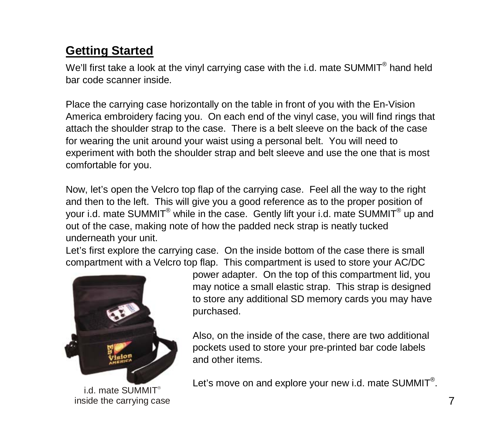# **Getting Started**

We'll first take a look at the vinyl carrying case with the i.d. mate SUMMIT® hand held bar code scanner inside.

Place the carrying case horizontally on the table in front of you with the En-Vision America embroidery facing you. On each end of the vinyl case, you will find rings that attach the shoulder strap to the case. There is a belt sleeve on the back of the case for wearing the unit around your waist using a personal belt. You will need to experiment with both the shoulder strap and belt sleeve and use the one that is most comfortable for you.

Now, let's open the Velcro top flap of the carrying case. Feel all the way to the right and then to the left. This will give you a good reference as to the proper position of your i.d. mate SUMMIT® while in the case. Gently lift your i.d. mate SUMMIT® up and out of the case, making note of how the padded neck strap is neatly tucked underneath your unit.

Let's first explore the carrying case. On the inside bottom of the case there is small compartment with a Velcro top flap. This compartment is used to store your AC/DC



i.d. mate SUMMIT inside the carrying case

power adapter. On the top of this compartment lid, you may notice a small elastic strap. This strap is designed to store any additional SD memory cards you may have purchased.

Also, on the inside of the case, there are two additional pockets used to store your pre-printed bar code labels and other items.

Let's move on and explore your new i.d. mate SUMMIT<sup>®</sup>.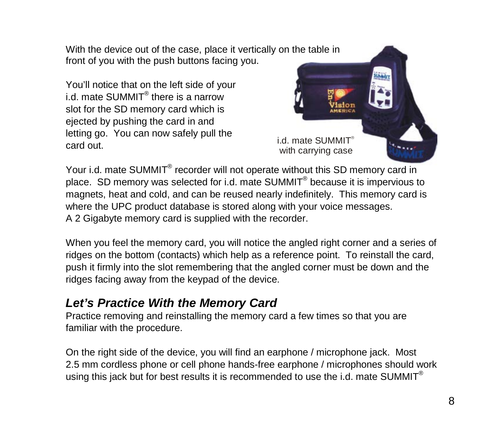With the device out of the case, place it vertically on the table in front of you with the push buttons facing you.

You'll notice that on the left side of your i.d. mate SUMMIT<sup>®</sup> there is a narrow slot for the SD memory card which is ejected by pushing the card in and letting go. You can now safely pull the card out.



Your i.d. mate SUMMIT<sup>®</sup> recorder will not operate without this SD memory card in place. SD memory was selected for i.d. mate SUMMIT® because it is impervious to magnets, heat and cold, and can be reused nearly indefinitely. This memory card is where the UPC product database is stored along with your voice messages. A 2 Gigabyte memory card is supplied with the recorder.

When you feel the memory card, you will notice the angled right corner and a series of ridges on the bottom (contacts) which help as a reference point. To reinstall the card, push it firmly into the slot remembering that the angled corner must be down and the ridges facing away from the keypad of the device.

### *Let's Practice With the Memory Card*

Practice removing and reinstalling the memory card a few times so that you are familiar with the procedure.

On the right side of the device, you will find an earphone / microphone jack. Most 2.5 mm cordless phone or cell phone hands-free earphone / microphones should work using this jack but for best results it is recommended to use the i.d. mate SUMMIT<sup>®</sup>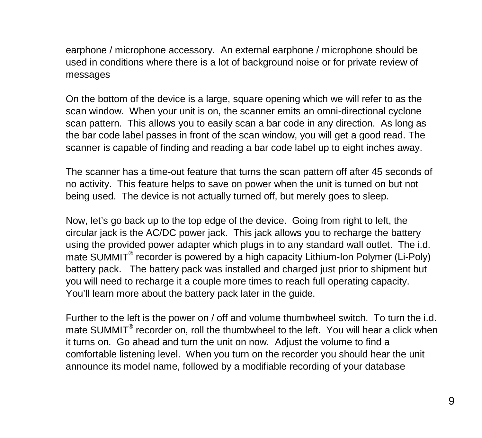earphone / microphone accessory. An external earphone / microphone should be used in conditions where there is a lot of background noise or for private review of messages

On the bottom of the device is a large, square opening which we will refer to as the scan window. When your unit is on, the scanner emits an omni-directional cyclone scan pattern. This allows you to easily scan a bar code in any direction. As long as the bar code label passes in front of the scan window, you will get a good read. The scanner is capable of finding and reading a bar code label up to eight inches away.

The scanner has a time-out feature that turns the scan pattern off after 45 seconds of no activity. This feature helps to save on power when the unit is turned on but not being used. The device is not actually turned off, but merely goes to sleep.

Now, let's go back up to the top edge of the device. Going from right to left, the circular jack is the AC/DC power jack. This jack allows you to recharge the battery using the provided power adapter which plugs in to any standard wall outlet. The i.d. mate SUMMIT<sup>®</sup> recorder is powered by a high capacity Lithium-Ion Polymer (Li-Poly) battery pack. The battery pack was installed and charged just prior to shipment but you will need to recharge it a couple more times to reach full operating capacity. You'll learn more about the battery pack later in the guide.

Further to the left is the power on / off and volume thumbwheel switch. To turn the i.d. mate SUMMIT<sup>®</sup> recorder on, roll the thumbwheel to the left. You will hear a click when it turns on. Go ahead and turn the unit on now. Adjust the volume to find a comfortable listening level. When you turn on the recorder you should hear the unit announce its model name, followed by a modifiable recording of your database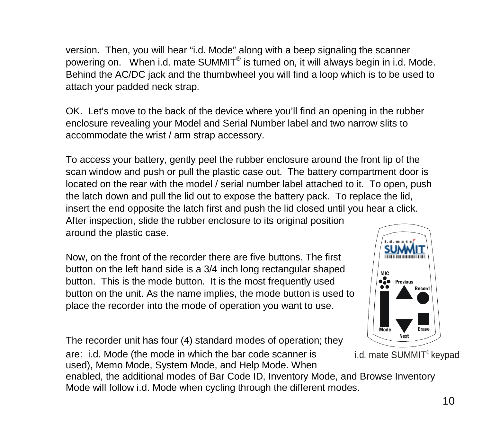version. Then, you will hear "i.d. Mode" along with a beep signaling the scanner powering on. When i.d. mate SUMMIT® is turned on, it will always begin in i.d. Mode. Behind the AC/DC jack and the thumbwheel you will find a loop which is to be used to attach your padded neck strap.

OK. Let's move to the back of the device where you'll find an opening in the rubber enclosure revealing your Model and Serial Number label and two narrow slits to accommodate the wrist / arm strap accessory.

To access your battery, gently peel the rubber enclosure around the front lip of the scan window and push or pull the plastic case out. The battery compartment door is located on the rear with the model / serial number label attached to it. To open, push the latch down and pull the lid out to expose the battery pack. To replace the lid, insert the end opposite the latch first and push the lid closed until you hear a click. After inspection, slide the rubber enclosure to its original position around the plastic case.

Now, on the front of the recorder there are five buttons. The first button on the left hand side is a 3/4 inch long rectangular shaped button. This is the mode button. It is the most frequently used button on the unit. As the name implies, the mode button is used to place the recorder into the mode of operation you want to use.



are: i.d. Mode (the mode in which the bar code scanner is used), Memo Mode, System Mode, and Help Mode. When

enabled, the additional modes of Bar Code ID, Inventory Mode, and Browse Inventory Mode will follow i.d. Mode when cycling through the different modes.



i.d. mate SUMMIT<sup>®</sup> keypad

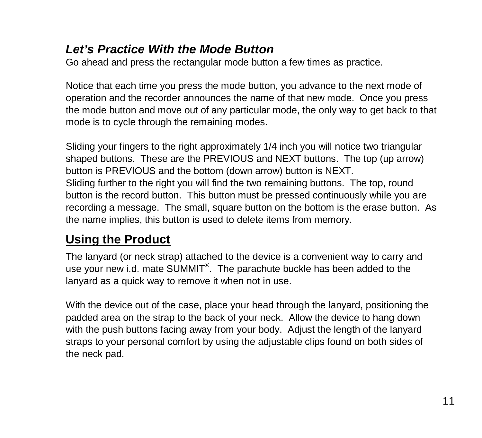### *Let's Practice With the Mode Button*

Go ahead and press the rectangular mode button a few times as practice.

Notice that each time you press the mode button, you advance to the next mode of operation and the recorder announces the name of that new mode. Once you press the mode button and move out of any particular mode, the only way to get back to that mode is to cycle through the remaining modes.

Sliding your fingers to the right approximately 1/4 inch you will notice two triangular shaped buttons. These are the PREVIOUS and NEXT buttons. The top (up arrow) button is PREVIOUS and the bottom (down arrow) button is NEXT. Sliding further to the right you will find the two remaining buttons. The top, round button is the record button. This button must be pressed continuously while you are recording a message. The small, square button on the bottom is the erase button. As the name implies, this button is used to delete items from memory.

# **Using the Product**

The lanyard (or neck strap) attached to the device is a convenient way to carry and use your new i.d. mate SUMMIT<sup>®</sup>. The parachute buckle has been added to the lanyard as a quick way to remove it when not in use.

With the device out of the case, place your head through the lanyard, positioning the padded area on the strap to the back of your neck. Allow the device to hang down with the push buttons facing away from your body. Adjust the length of the lanyard straps to your personal comfort by using the adjustable clips found on both sides of the neck pad.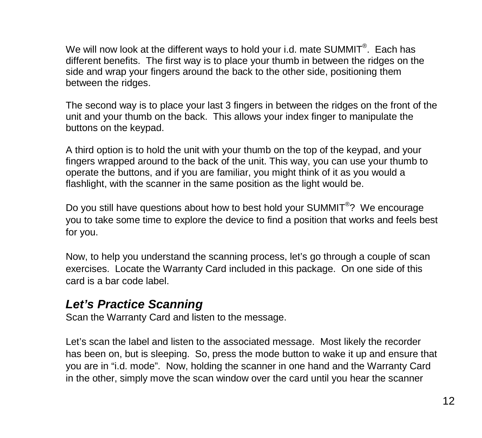We will now look at the different ways to hold your i.d. mate SUMMIT $^{\circledast}$ . Each has different benefits. The first way is to place your thumb in between the ridges on the side and wrap your fingers around the back to the other side, positioning them between the ridges.

The second way is to place your last 3 fingers in between the ridges on the front of the unit and your thumb on the back. This allows your index finger to manipulate the buttons on the keypad.

A third option is to hold the unit with your thumb on the top of the keypad, and your fingers wrapped around to the back of the unit. This way, you can use your thumb to operate the buttons, and if you are familiar, you might think of it as you would a flashlight, with the scanner in the same position as the light would be.

Do you still have questions about how to best hold your SUMMIT<sup>®</sup>? We encourage you to take some time to explore the device to find a position that works and feels best for you.

Now, to help you understand the scanning process, let's go through a couple of scan exercises. Locate the Warranty Card included in this package. On one side of this card is a bar code label.

### *Let's Practice Scanning*

Scan the Warranty Card and listen to the message.

Let's scan the label and listen to the associated message. Most likely the recorder has been on, but is sleeping. So, press the mode button to wake it up and ensure that you are in "i.d. mode". Now, holding the scanner in one hand and the Warranty Card in the other, simply move the scan window over the card until you hear the scanner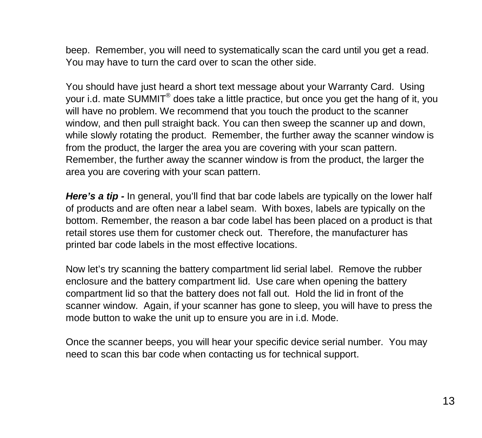beep. Remember, you will need to systematically scan the card until you get a read. You may have to turn the card over to scan the other side.

You should have just heard a short text message about your Warranty Card. Using your i.d. mate SUMMIT® does take a little practice, but once you get the hang of it, you will have no problem. We recommend that you touch the product to the scanner window, and then pull straight back. You can then sweep the scanner up and down, while slowly rotating the product. Remember, the further away the scanner window is from the product, the larger the area you are covering with your scan pattern. Remember, the further away the scanner window is from the product, the larger the area you are covering with your scan pattern.

Here's a tip - In general, you'll find that bar code labels are typically on the lower half of products and are often near a label seam. With boxes, labels are typically on the bottom. Remember, the reason a bar code label has been placed on a product is that retail stores use them for customer check out. Therefore, the manufacturer has printed bar code labels in the most effective locations.

Now let's try scanning the battery compartment lid serial label. Remove the rubber enclosure and the battery compartment lid. Use care when opening the battery compartment lid so that the battery does not fall out. Hold the lid in front of the scanner window. Again, if your scanner has gone to sleep, you will have to press the mode button to wake the unit up to ensure you are in i.d. Mode.

Once the scanner beeps, you will hear your specific device serial number. You may need to scan this bar code when contacting us for technical support.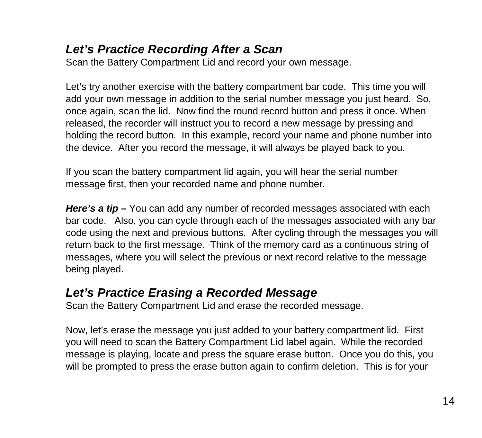# *Let's Practice Recording After a Scan*

Scan the Battery Compartment Lid and record your own message.

Let's try another exercise with the battery compartment bar code. This time you will add your own message in addition to the serial number message you just heard. So, once again, scan the lid. Now find the round record button and press it once. When released, the recorder will instruct you to record a new message by pressing and holding the record button. In this example, record your name and phone number into the device. After you record the message, it will always be played back to you.

If you scan the battery compartment lid again, you will hear the serial number message first, then your recorded name and phone number.

*Here's a tip –* You can add any number of recorded messages associated with each bar code. Also, you can cycle through each of the messages associated with any bar code using the next and previous buttons. After cycling through the messages you will return back to the first message. Think of the memory card as a continuous string of messages, where you will select the previous or next record relative to the message being played.

### *Let's Practice Erasing a Recorded Message*

Scan the Battery Compartment Lid and erase the recorded message.

Now, let's erase the message you just added to your battery compartment lid. First you will need to scan the Battery Compartment Lid label again. While the recorded message is playing, locate and press the square erase button. Once you do this, you will be prompted to press the erase button again to confirm deletion. This is for your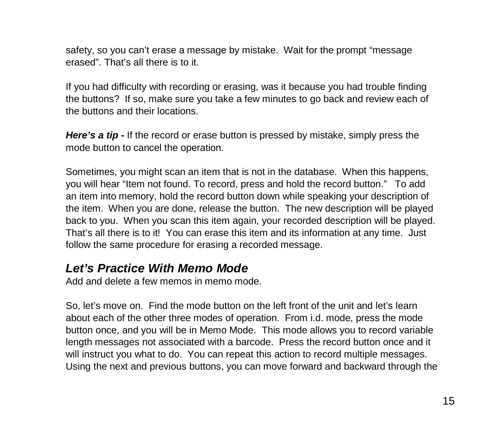safety, so you can't erase a message by mistake. Wait for the prompt "message erased". That's all there is to it.

If you had difficulty with recording or erasing, was it because you had trouble finding the buttons? If so, make sure you take a few minutes to go back and review each of the buttons and their locations.

**Here's a tip -** If the record or erase button is pressed by mistake, simply press the mode button to cancel the operation.

Sometimes, you might scan an item that is not in the database. When this happens, you will hear "Item not found. To record, press and hold the record button." To add an item into memory, hold the record button down while speaking your description of the item. When you are done, release the button. The new description will be played back to you. When you scan this item again, your recorded description will be played. That's all there is to it! You can erase this item and its information at any time. Just follow the same procedure for erasing a recorded message.

# *Let's Practice With Memo Mode*

Add and delete a few memos in memo mode.

So, let's move on. Find the mode button on the left front of the unit and let's learn about each of the other three modes of operation. From i.d. mode, press the mode button once, and you will be in Memo Mode. This mode allows you to record variable length messages not associated with a barcode. Press the record button once and it will instruct you what to do. You can repeat this action to record multiple messages. Using the next and previous buttons, you can move forward and backward through the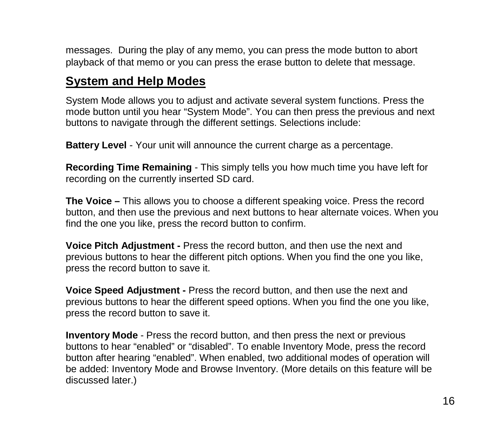messages. During the play of any memo, you can press the mode button to abort playback of that memo or you can press the erase button to delete that message.

# **System and Help Modes**

System Mode allows you to adjust and activate several system functions. Press the mode button until you hear "System Mode". You can then press the previous and next buttons to navigate through the different settings. Selections include:

**Battery Level** - Your unit will announce the current charge as a percentage.

**Recording Time Remaining** - This simply tells you how much time you have left for recording on the currently inserted SD card.

**The Voice –** This allows you to choose a different speaking voice. Press the record button, and then use the previous and next buttons to hear alternate voices. When you find the one you like, press the record button to confirm.

**Voice Pitch Adjustment -** Press the record button, and then use the next and previous buttons to hear the different pitch options. When you find the one you like, press the record button to save it.

**Voice Speed Adjustment -** Press the record button, and then use the next and previous buttons to hear the different speed options. When you find the one you like, press the record button to save it.

**Inventory Mode** - Press the record button, and then press the next or previous buttons to hear "enabled" or "disabled". To enable Inventory Mode, press the record button after hearing "enabled". When enabled, two additional modes of operation will be added: Inventory Mode and Browse Inventory. (More details on this feature will be discussed later.)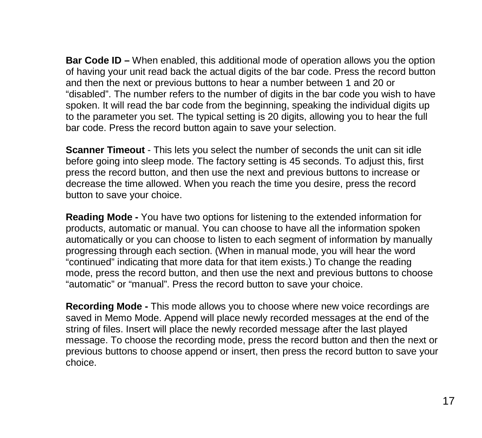**Bar Code ID –** When enabled, this additional mode of operation allows you the option of having your unit read back the actual digits of the bar code. Press the record button and then the next or previous buttons to hear a number between 1 and 20 or "disabled". The number refers to the number of digits in the bar code you wish to have spoken. It will read the bar code from the beginning, speaking the individual digits up to the parameter you set. The typical setting is 20 digits, allowing you to hear the full bar code. Press the record button again to save your selection.

**Scanner Timeout** - This lets you select the number of seconds the unit can sit idle before going into sleep mode. The factory setting is 45 seconds. To adjust this, first press the record button, and then use the next and previous buttons to increase or decrease the time allowed. When you reach the time you desire, press the record button to save your choice.

**Reading Mode -** You have two options for listening to the extended information for products, automatic or manual. You can choose to have all the information spoken automatically or you can choose to listen to each segment of information by manually progressing through each section. (When in manual mode, you will hear the word "continued" indicating that more data for that item exists.) To change the reading mode, press the record button, and then use the next and previous buttons to choose "automatic" or "manual". Press the record button to save your choice.

**Recording Mode -** This mode allows you to choose where new voice recordings are saved in Memo Mode. Append will place newly recorded messages at the end of the string of files. Insert will place the newly recorded message after the last played message. To choose the recording mode, press the record button and then the next or previous buttons to choose append or insert, then press the record button to save your choice.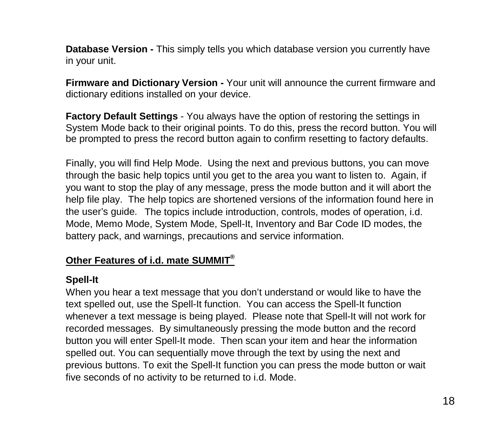**Database Version -** This simply tells you which database version you currently have in your unit.

**Firmware and Dictionary Version -** Your unit will announce the current firmware and dictionary editions installed on your device.

**Factory Default Settings** - You always have the option of restoring the settings in System Mode back to their original points. To do this, press the record button. You will be prompted to press the record button again to confirm resetting to factory defaults.

Finally, you will find Help Mode. Using the next and previous buttons, you can move through the basic help topics until you get to the area you want to listen to. Again, if you want to stop the play of any message, press the mode button and it will abort the help file play. The help topics are shortened versions of the information found here in the user's guide. The topics include introduction, controls, modes of operation, i.d. Mode, Memo Mode, System Mode, Spell-It, Inventory and Bar Code ID modes, the battery pack, and warnings, precautions and service information.

#### **Other Features of i.d. mate SUMMIT®**

#### **Spell-It**

When you hear a text message that you don't understand or would like to have the text spelled out, use the Spell-It function. You can access the Spell-It function whenever a text message is being played. Please note that Spell-It will not work for recorded messages. By simultaneously pressing the mode button and the record button you will enter Spell-It mode. Then scan your item and hear the information spelled out. You can sequentially move through the text by using the next and previous buttons. To exit the Spell-It function you can press the mode button or wait five seconds of no activity to be returned to i.d. Mode.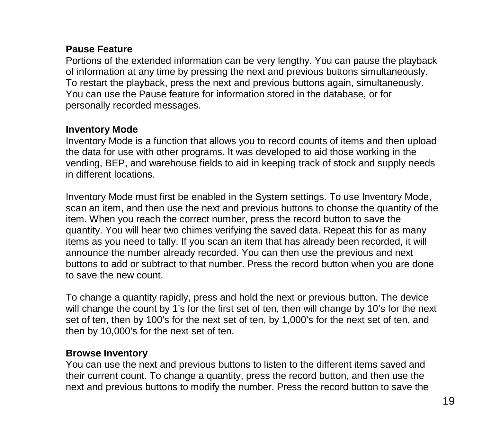#### **Pause Feature**

Portions of the extended information can be very lengthy. You can pause the playback of information at any time by pressing the next and previous buttons simultaneously. To restart the playback, press the next and previous buttons again, simultaneously. You can use the Pause feature for information stored in the database, or for personally recorded messages.

#### **Inventory Mode**

Inventory Mode is a function that allows you to record counts of items and then upload the data for use with other programs. It was developed to aid those working in the vending, BEP, and warehouse fields to aid in keeping track of stock and supply needs in different locations.

Inventory Mode must first be enabled in the System settings. To use Inventory Mode, scan an item, and then use the next and previous buttons to choose the quantity of the item. When you reach the correct number, press the record button to save the quantity. You will hear two chimes verifying the saved data. Repeat this for as many items as you need to tally. If you scan an item that has already been recorded, it will announce the number already recorded. You can then use the previous and next buttons to add or subtract to that number. Press the record button when you are done to save the new count.

To change a quantity rapidly, press and hold the next or previous button. The device will change the count by 1's for the first set of ten, then will change by 10's for the next set of ten, then by 100's for the next set of ten, by 1,000's for the next set of ten, and then by 10,000's for the next set of ten.

#### **Browse Inventory**

You can use the next and previous buttons to listen to the different items saved and their current count. To change a quantity, press the record button, and then use the next and previous buttons to modify the number. Press the record button to save the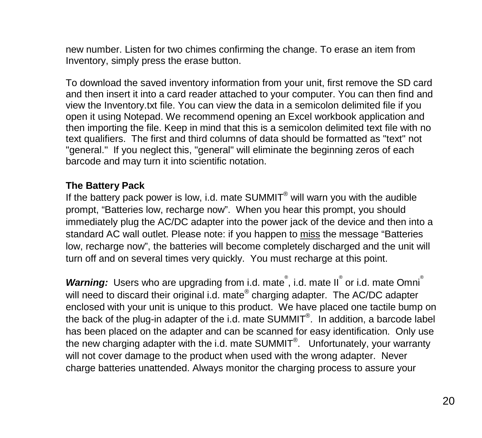new number. Listen for two chimes confirming the change. To erase an item from Inventory, simply press the erase button.

To download the saved inventory information from your unit, first remove the SD card and then insert it into a card reader attached to your computer. You can then find and view the Inventory.txt file. You can view the data in a semicolon delimited file if you open it using Notepad. We recommend opening an Excel workbook application and then importing the file. Keep in mind that this is a semicolon delimited text file with no text qualifiers. The first and third columns of data should be formatted as "text" not "general." If you neglect this, "general" will eliminate the beginning zeros of each barcode and may turn it into scientific notation.

#### **The Battery Pack**

If the battery pack power is low, i.d. mate  $SUMMIT<sup>®</sup>$  will warn you with the audible prompt, "Batteries low, recharge now". When you hear this prompt, you should immediately plug the AC/DC adapter into the power jack of the device and then into a standard AC wall outlet. Please note: if you happen to miss the message "Batteries low, recharge now", the batteries will become completely discharged and the unit will turn off and on several times very quickly. You must recharge at this point.

Warning: Users who are upgrading from i.d. mate<sup>®</sup>, i.d. mate II<sup>®</sup> or i.d. mate Omni<sup>®</sup> will need to discard their original i.d. mate® charging adapter. The AC/DC adapter enclosed with your unit is unique to this product. We have placed one tactile bump on the back of the plug-in adapter of the i.d. mate SUMMIT<sup>®</sup>. In addition, a barcode label has been placed on the adapter and can be scanned for easy identification. Only use the new charging adapter with the i.d. mate SUMMIT<sup>®</sup>. Unfortunately, your warranty will not cover damage to the product when used with the wrong adapter. Never charge batteries unattended. Always monitor the charging process to assure your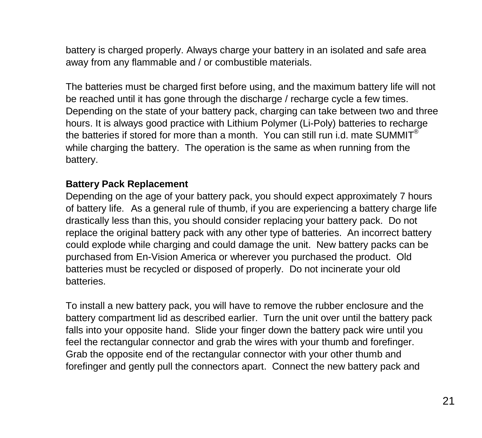battery is charged properly. Always charge your battery in an isolated and safe area away from any flammable and / or combustible materials.

The batteries must be charged first before using, and the maximum battery life will not be reached until it has gone through the discharge / recharge cycle a few times. Depending on the state of your battery pack, charging can take between two and three hours. It is always good practice with Lithium Polymer (Li-Poly) batteries to recharge the batteries if stored for more than a month. You can still run i.d. mate SUMMIT<sup>®</sup> while charging the battery. The operation is the same as when running from the battery.

#### **Battery Pack Replacement**

Depending on the age of your battery pack, you should expect approximately 7 hours of battery life. As a general rule of thumb, if you are experiencing a battery charge life drastically less than this, you should consider replacing your battery pack. Do not replace the original battery pack with any other type of batteries. An incorrect battery could explode while charging and could damage the unit. New battery packs can be purchased from En-Vision America or wherever you purchased the product. Old batteries must be recycled or disposed of properly. Do not incinerate your old batteries.

To install a new battery pack, you will have to remove the rubber enclosure and the battery compartment lid as described earlier. Turn the unit over until the battery pack falls into your opposite hand. Slide your finger down the battery pack wire until you feel the rectangular connector and grab the wires with your thumb and forefinger. Grab the opposite end of the rectangular connector with your other thumb and forefinger and gently pull the connectors apart. Connect the new battery pack and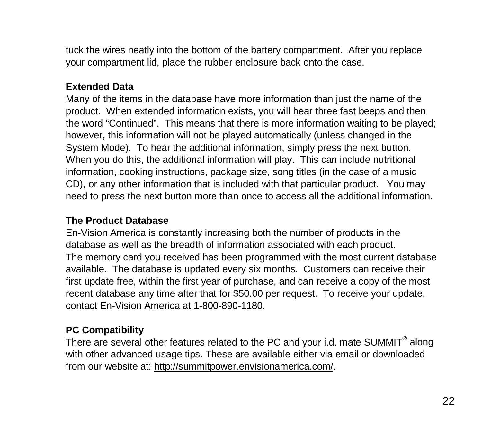tuck the wires neatly into the bottom of the battery compartment. After you replace your compartment lid, place the rubber enclosure back onto the case.

#### **Extended Data**

Many of the items in the database have more information than just the name of the product. When extended information exists, you will hear three fast beeps and then the word "Continued". This means that there is more information waiting to be played; however, this information will not be played automatically (unless changed in the System Mode). To hear the additional information, simply press the next button. When you do this, the additional information will play. This can include nutritional information, cooking instructions, package size, song titles (in the case of a music CD), or any other information that is included with that particular product. You may need to press the next button more than once to access all the additional information.

#### **The Product Database**

En-Vision America is constantly increasing both the number of products in the database as well as the breadth of information associated with each product. The memory card you received has been programmed with the most current database available. The database is updated every six months. Customers can receive their first update free, within the first year of purchase, and can receive a copy of the most recent database any time after that for \$50.00 per request. To receive your update, contact En-Vision America at 1-800-890-1180.

#### **PC Compatibility**

There are several other features related to the PC and your i.d. mate SUMMIT<sup>®</sup> along with other advanced usage tips. These are available either via email or downloaded from our website at[: http://summitpower.envisionamerica.com/.](http://summitpower.envisionamerica.com/)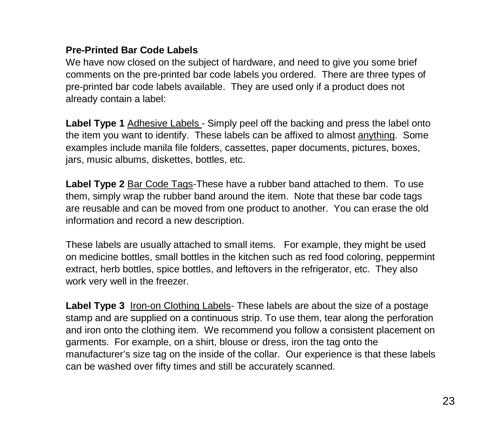#### **Pre-Printed Bar Code Labels**

We have now closed on the subject of hardware, and need to give you some brief comments on the pre-printed bar code labels you ordered. There are three types of pre-printed bar code labels available. They are used only if a product does not already contain a label:

Label Type 1 Adhesive Labels - Simply peel off the backing and press the label onto the item you want to identify. These labels can be affixed to almost anything. Some examples include manila file folders, cassettes, paper documents, pictures, boxes, jars, music albums, diskettes, bottles, etc.

**Label Type 2** Bar Code Tags-These have a rubber band attached to them. To use them, simply wrap the rubber band around the item. Note that these bar code tags are reusable and can be moved from one product to another. You can erase the old information and record a new description.

These labels are usually attached to small items. For example, they might be used on medicine bottles, small bottles in the kitchen such as red food coloring, peppermint extract, herb bottles, spice bottles, and leftovers in the refrigerator, etc. They also work very well in the freezer.

Label Type 3 Iron-on Clothing Labels- These labels are about the size of a postage stamp and are supplied on a continuous strip. To use them, tear along the perforation and iron onto the clothing item. We recommend you follow a consistent placement on garments. For example, on a shirt, blouse or dress, iron the tag onto the manufacturer's size tag on the inside of the collar. Our experience is that these labels can be washed over fifty times and still be accurately scanned.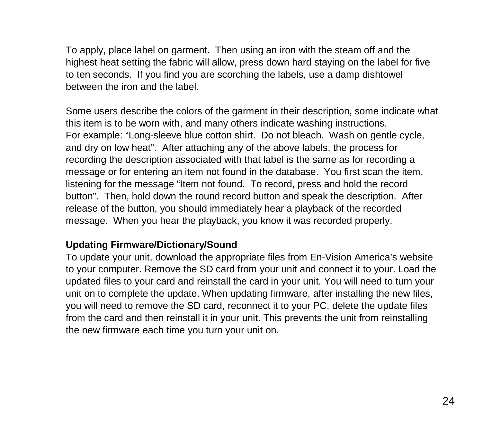To apply, place label on garment. Then using an iron with the steam off and the highest heat setting the fabric will allow, press down hard staying on the label for five to ten seconds. If you find you are scorching the labels, use a damp dishtowel between the iron and the label.

Some users describe the colors of the garment in their description, some indicate what this item is to be worn with, and many others indicate washing instructions. For example: "Long-sleeve blue cotton shirt. Do not bleach. Wash on gentle cycle, and dry on low heat". After attaching any of the above labels, the process for recording the description associated with that label is the same as for recording a message or for entering an item not found in the database. You first scan the item, listening for the message "Item not found. To record, press and hold the record button". Then, hold down the round record button and speak the description. After release of the button, you should immediately hear a playback of the recorded message. When you hear the playback, you know it was recorded properly.

#### **Updating Firmware/Dictionary/Sound**

To update your unit, download the appropriate files from En-Vision America's website to your computer. Remove the SD card from your unit and connect it to your. Load the updated files to your card and reinstall the card in your unit. You will need to turn your unit on to complete the update. When updating firmware, after installing the new files, you will need to remove the SD card, reconnect it to your PC, delete the update files from the card and then reinstall it in your unit. This prevents the unit from reinstalling the new firmware each time you turn your unit on.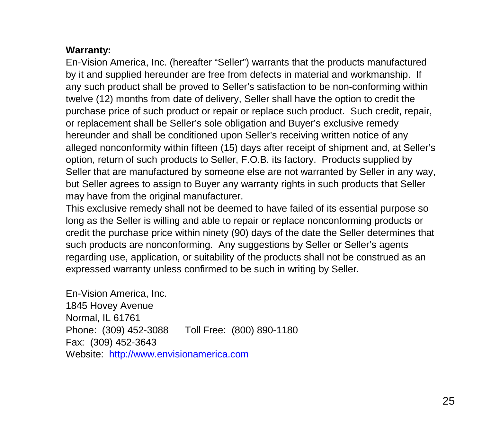#### **Warranty:**

En-Vision America, Inc. (hereafter "Seller") warrants that the products manufactured by it and supplied hereunder are free from defects in material and workmanship. If any such product shall be proved to Seller's satisfaction to be non-conforming within twelve (12) months from date of delivery, Seller shall have the option to credit the purchase price of such product or repair or replace such product. Such credit, repair, or replacement shall be Seller's sole obligation and Buyer's exclusive remedy hereunder and shall be conditioned upon Seller's receiving written notice of any alleged nonconformity within fifteen (15) days after receipt of shipment and, at Seller's option, return of such products to Seller, F.O.B. its factory. Products supplied by Seller that are manufactured by someone else are not warranted by Seller in any way, but Seller agrees to assign to Buyer any warranty rights in such products that Seller may have from the original manufacturer.

This exclusive remedy shall not be deemed to have failed of its essential purpose so long as the Seller is willing and able to repair or replace nonconforming products or credit the purchase price within ninety (90) days of the date the Seller determines that such products are nonconforming. Any suggestions by Seller or Seller's agents regarding use, application, or suitability of the products shall not be construed as an expressed warranty unless confirmed to be such in writing by Seller.

En-Vision America, Inc. 1845 Hovey Avenue Normal, IL 61761 Phone: (309) 452-3088 Toll Free: (800) 890-1180 Fax: (309) 452-3643 Website: [http://www.envisionamerica.com](http://www.envisionamerica.com/)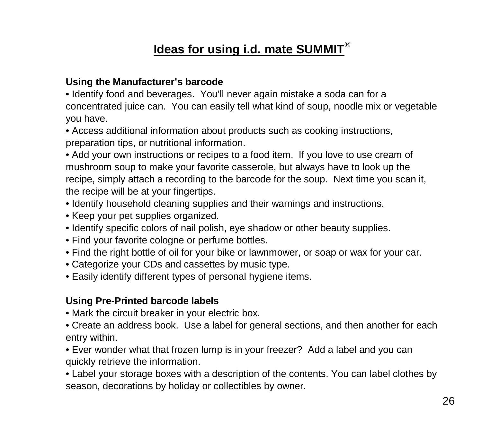# **Ideas for using i.d. mate SUMMIT**®

#### **Using the Manufacturer's barcode**

• Identify food and beverages. You'll never again mistake a soda can for a concentrated juice can. You can easily tell what kind of soup, noodle mix or vegetable you have.

• Access additional information about products such as cooking instructions, preparation tips, or nutritional information.

• Add your own instructions or recipes to a food item. If you love to use cream of mushroom soup to make your favorite casserole, but always have to look up the recipe, simply attach a recording to the barcode for the soup. Next time you scan it, the recipe will be at your fingertips.

- Identify household cleaning supplies and their warnings and instructions.
- Keep your pet supplies organized.
- Identify specific colors of nail polish, eye shadow or other beauty supplies.
- Find your favorite cologne or perfume bottles.
- Find the right bottle of oil for your bike or lawnmower, or soap or wax for your car.
- Categorize your CDs and cassettes by music type.
- Easily identify different types of personal hygiene items.

#### **Using Pre-Printed barcode labels**

- Mark the circuit breaker in your electric box.
- Create an address book. Use a label for general sections, and then another for each entry within.
- Ever wonder what that frozen lump is in your freezer? Add a label and you can quickly retrieve the information.

• Label your storage boxes with a description of the contents. You can label clothes by season, decorations by holiday or collectibles by owner.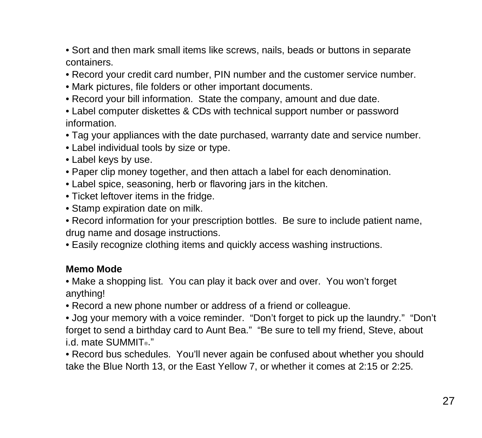• Sort and then mark small items like screws, nails, beads or buttons in separate containers.

- Record your credit card number, PIN number and the customer service number.
- Mark pictures, file folders or other important documents.
- Record your bill information. State the company, amount and due date.
- Label computer diskettes & CDs with technical support number or password information.
- Tag your appliances with the date purchased, warranty date and service number.
- Label individual tools by size or type.
- Label keys by use.
- Paper clip money together, and then attach a label for each denomination.
- Label spice, seasoning, herb or flavoring jars in the kitchen.
- Ticket leftover items in the fridge.
- Stamp expiration date on milk.
- Record information for your prescription bottles. Be sure to include patient name, drug name and dosage instructions.
- Easily recognize clothing items and quickly access washing instructions.

#### **Memo Mode**

• Make a shopping list. You can play it back over and over. You won't forget anything!

• Record a new phone number or address of a friend or colleague.

• Jog your memory with a voice reminder. "Don't forget to pick up the laundry." "Don't forget to send a birthday card to Aunt Bea." "Be sure to tell my friend, Steve, about i.d. mate SUMMIT<sup>®</sup>."

• Record bus schedules. You'll never again be confused about whether you should take the Blue North 13, or the East Yellow 7, or whether it comes at 2:15 or 2:25.